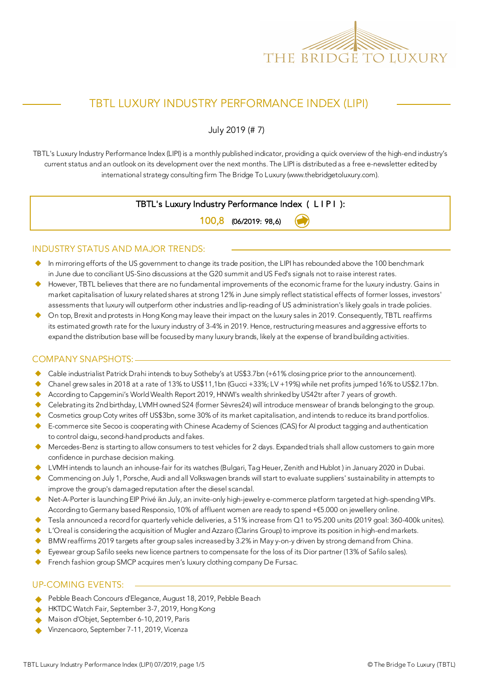

# TBTL LUXURY INDUSTRY PERFORMANCE INDEX (LIPI)

July 2019 (# 7)

TBTL's Luxury Industry Performance Index (LIPI) is a monthly published indicator, providing a quick overview of the high-end industry's current status and an outlook on its development over the next months. The LIPI is distributed as a free e-newsletter edited by international strategy consulting firm The Bridge To Luxury (www.thebridgetoluxury.com).

## TBTL's Luxury Industry Performance Index ( L I P I ):

100,8 (06/2019: 98,6)

#### INDUSTRY STATUS AND MAJOR TRENDS:

- In mirroring efforts of the US government to change its trade position, the LIPI has rebounded above the 100 benchmark in June due to conciliant US-Sino discussions at the G20 summit and US Fed's signals not to raise interest rates.
- However, TBTL believes that there are no fundamental improvements of the economic frame for the luxury industry. Gains in market capitalisation of luxury related shares at strong 12% in June simply reflect statistical effects of former losses, investors' assessments that luxury will outperform other industries and lip-reading of US administration's likely goals in trade policies.
- u On top, Brexit and protests in Hong Kong may leave their impact on the luxury sales in 2019. Consequently, TBTL reaffirms its estimated growth rate for the luxury industry of 3-4% in 2019. Hence, restructuring measures and aggressive efforts to expand the distribution base will be focused by many luxury brands, likely at the expense of brand building activities.

#### COMPANY SNAPSHOTS:

- Cable industrialist Patrick Drahi intends to buy Sotheby's at US\$3.7bn (+61% closing price prior to the announcement).
- u Chanel grew sales in 2018 at a rate of 13% to US\$11,1bn (Gucci +33%; LV +19%) while net profits jumped 16% to US\$2.17bn.
- According to Capgemini's World Wealth Report 2019, HNWI's wealth shrinked by US42tr after 7 years of growth.
- Celebrating its 2nd birthday, LVMH owned S24 (former Sèvres24) will introduce menswear of brands belonging to the group.
- Cosmetics group Coty writes off US\$3bn, some 30% of its market capitalisation, and intends to reduce its brand portfolios.
- E-commerce site Secoo is cooperating with Chinese Academy of Sciences (CAS) for AI product tagging and authentication to control daigu, second-hand products and fakes.
- ◆ Mercedes-Benz is starting to allow consumers to test vehicles for 2 days. Expanded trials shall allow customers to gain more confidence in purchase decision making.
- LVMH intends to launch an inhouse-fair for its watches (Bulgari, Tag Heuer, Zenith and Hublot) in January 2020 in Dubai.
- u Commencing on July 1, Porsche, Audi and all Volkswagen brands will start to evaluate suppliers' sustainability in attempts to improve the group's damaged reputation after the diesel scandal.
- Net-A-Porter is launching EIP Privé ikn July, an invite-only high-jewelry e-commerce platform targeted at high-spending VIPs. According to Germany based Responsio, 10% of affluent women are ready to spend +€5.000 on jewellery online.
- Tesla announced a record for quarterly vehicle deliveries, a 51% increase from Q1 to 95.200 units (2019 goal: 360-400k unites).
- u L'Oreal is considering the acquisition of Mugler and Azzaro (Clarins Group) to improve its position in high-end markets.
- BMW reaffirms 2019 targets after group sales increased by 3.2% in May y-on-y driven by strong demand from China.
- Eyewear group Safilo seeks new licence partners to compensate for the loss of its Dior partner (13% of Safilo sales).
- French fashion group SMCP acquires men's luxury clothing company De Fursac.

#### UP-COMING EVENTS:

- Pebble Beach Concours d'Elegance, August 18, 2019, Pebble Beach
- HKTDC Watch Fair, September 3-7, 2019, Hong Kong
- Maison d'Objet, September 6-10, 2019, Paris
- Vinzencaoro, September 7-11, 2019, Vicenza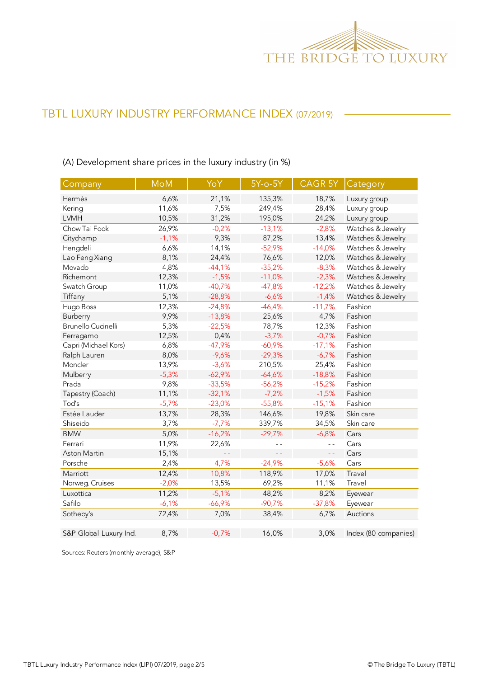

(A) Development share prices in the luxury industry (in %)

| Company                   | <b>MoM</b> | YoY            | $5Y-0-5Y$ | CAGR 5Y        | Category             |
|---------------------------|------------|----------------|-----------|----------------|----------------------|
| Hermès                    | 6,6%       | 21,1%          | 135,3%    | 18,7%          | Luxury group         |
| Kering                    | 11,6%      | 7,5%           | 249,4%    | 28,4%          | Luxury group         |
| <b>LVMH</b>               | 10,5%      | 31,2%          | 195,0%    | 24,2%          | Luxury group         |
| Chow Tai Fook             | 26,9%      | $-0,2%$        | $-13,1%$  | $-2,8%$        | Watches & Jewelry    |
| Citychamp                 | $-1,1%$    | 9,3%           | 87,2%     | 13,4%          | Watches & Jewelry    |
| Hengdeli                  | 6,6%       | 14,1%          | $-52,9%$  | $-14,0%$       | Watches & Jewelry    |
| Lao Feng Xiang            | 8,1%       | 24,4%          | 76,6%     | 12,0%          | Watches & Jewelry    |
| Movado                    | 4,8%       | $-44,1%$       | $-35,2%$  | $-8,3%$        | Watches & Jewelry    |
| Richemont                 | 12,3%      | $-1,5%$        | $-11,0%$  | $-2,3%$        | Watches & Jewelry    |
| Swatch Group              | 11,0%      | $-40,7%$       | $-47,8%$  | $-12,2%$       | Watches & Jewelry    |
| Tiffany                   | 5,1%       | $-28,8%$       | $-6,6%$   | $-1,4%$        | Watches & Jewelry    |
| Hugo Boss                 | 12,3%      | $-24,8%$       | $-46,4%$  | $-11,7%$       | Fashion              |
| Burberry                  | 9,9%       | $-13,8%$       | 25,6%     | 4,7%           | Fashion              |
| <b>Brunello Cucinelli</b> | 5,3%       | $-22,5%$       | 78,7%     | 12,3%          | Fashion              |
| Ferragamo                 | 12,5%      | 0,4%           | $-3,7%$   | $-0,7%$        | Fashion              |
| Capri (Michael Kors)      | 6,8%       | $-47,9%$       | $-60,9%$  | $-17,1%$       | Fashion              |
| Ralph Lauren              | 8,0%       | $-9,6%$        | $-29,3%$  | $-6,7%$        | Fashion              |
| Moncler                   | 13,9%      | $-3,6%$        | 210,5%    | 25,4%          | Fashion              |
| Mulberry                  | $-5,3%$    | $-62,9%$       | $-64,6%$  | $-18,8%$       | Fashion              |
| Prada                     | 9,8%       | $-33,5%$       | $-56,2%$  | $-15,2%$       | Fashion              |
| Tapestry (Coach)          | 11,1%      | $-32,1%$       | $-7,2%$   | $-1,5%$        | Fashion              |
| Tod's                     | $-5,7%$    | $-23,0%$       | $-55,8%$  | $-15,1%$       | Fashion              |
| Estée Lauder              | 13,7%      | 28,3%          | 146,6%    | 19,8%          | Skin care            |
| Shiseido                  | 3,7%       | $-7,7%$        | 339,7%    | 34,5%          | Skin care            |
| <b>BMW</b>                | 5,0%       | $-16,2%$       | $-29,7%$  | $-6,8%$        | Cars                 |
| Ferrari                   | 11,9%      | 22,6%          | $ -$      | $\overline{a}$ | Cars                 |
| Aston Martin              | 15,1%      | $\overline{a}$ | $-$       | $ -$           | Cars                 |
| Porsche                   | 2,4%       | 4,7%           | $-24,9%$  | $-5,6%$        | Cars                 |
| Marriott                  | 12,4%      | 10,8%          | 118,9%    | 17,0%          | Travel               |
| Norweg. Cruises           | $-2,0%$    | 13,5%          | 69,2%     | 11,1%          | Travel               |
| Luxottica                 | 11,2%      | $-5,1%$        | 48,2%     | 8,2%           | Eyewear              |
| Safilo                    | $-6,1%$    | $-66,9%$       | $-90,7%$  | $-37,8%$       | Eyewear              |
| Sotheby's                 | 72,4%      | 7,0%           | 38,4%     | 6,7%           | Auctions             |
|                           |            |                |           |                |                      |
| S&P Global Luxury Ind.    | 8,7%       | $-0,7%$        | 16,0%     | 3,0%           | Index (80 companies) |

Sources: Reuters (monthly average), S&P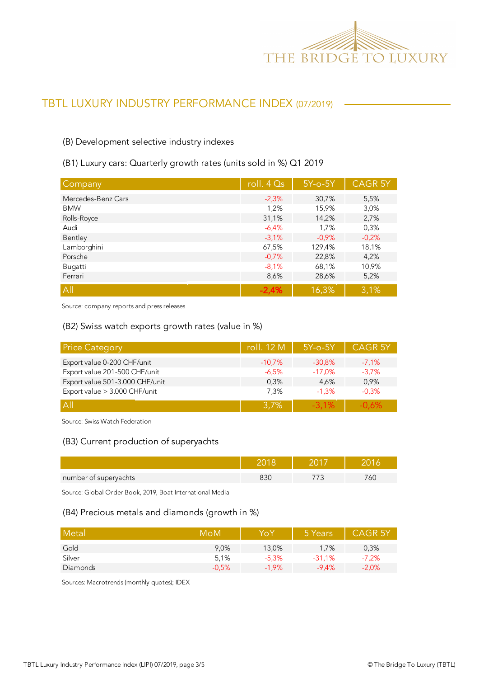

#### (B) Development selective industry indexes

#### (B1) Luxury cars: Quarterly growth rates (units sold in %) Q1 2019

| Company            | roll. $4Qs$ | $5Y$ -o- $5Y$ | <b>CAGR 5Y</b> |
|--------------------|-------------|---------------|----------------|
| Mercedes-Benz Cars | $-2,3%$     | 30,7%         | 5,5%           |
| <b>BMW</b>         | 1,2%        | 15,9%         | 3,0%           |
| Rolls-Royce        | 31,1%       | 14,2%         | 2,7%           |
| Audi               | $-6,4%$     | 1,7%          | 0,3%           |
| Bentley            | $-3.1%$     | $-0.9%$       | $-0,2%$        |
| Lamborghini        | 67,5%       | 129,4%        | 18,1%          |
| Porsche            | $-0.7%$     | 22,8%         | 4,2%           |
| Bugatti            | $-8,1%$     | 68,1%         | 10,9%          |
| Ferrari            | 8,6%        | 28,6%         | 5,2%           |
| All                | $-2.4%$     | 16,3%         | 3,1%           |

Source: company reports and press releases

#### (B2) Swiss watch exports growth rates (value in %)

| <b>Price Category</b>           | roll. 12 M | $5Y$ -o- $5Y$ | <b>CAGR 5Y</b> |
|---------------------------------|------------|---------------|----------------|
| Export value 0-200 CHF/unit     | $-10,7%$   | $-30.8\%$     | $-7.1\%$       |
| Export value 201-500 CHF/unit   | -6,5%      | $-17,0%$      | $-3.7%$        |
| Export value 501-3.000 CHF/unit | 0.3%       | 4.6%          | 0,9%           |
| Export value > 3.000 CHF/unit   | 7,3%       | $-1.3%$       | $-0.3%$        |
| A                               | 3,7%       | $-3.1\%$      | $-0.6%$        |

Source: Swiss Watch Federation

#### (B3) Current production of superyachts

| number of superyachts |  |  |
|-----------------------|--|--|

Source: Global Order Book, 2019, Boat International Media

#### (B4) Precious metals and diamonds (growth in %)

| Metal    | MoM     | YoY     | 5 Years  | <b>CAGR 5Y</b> |
|----------|---------|---------|----------|----------------|
| Gold     | 9.0%    | 13,0%   | 1.7%     | 0,3%           |
| Silver   | 5.1%    | $-5.3%$ | $-31.1%$ | $-7,2%$        |
| Diamonds | $-0.5%$ | $-1.9%$ | $-9.4\%$ | $-2,0%$        |

Sources: Macrotrends (monthly quotes); IDEX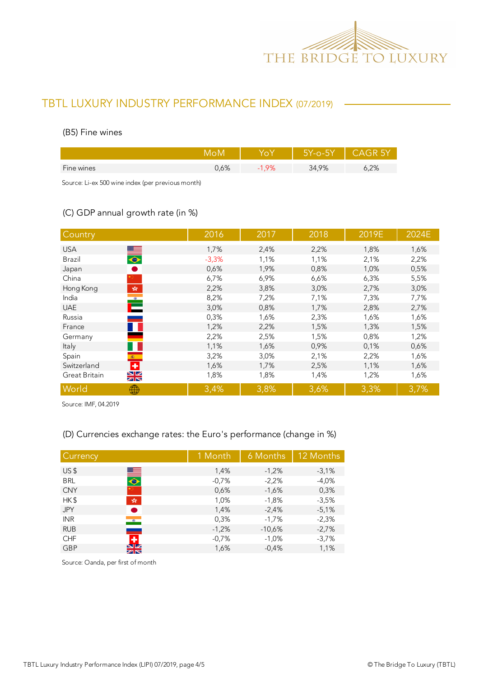

#### (B5) Fine wines

|            |      |      | 5Y-o-5Y | - CAGR 5Y |
|------------|------|------|---------|-----------|
| Fine wines | J,6% | 1,9% | 34,9%   | 5,2%      |
|            |      |      |         |           |

Source: Li-ex 500 wine index (per previous month)

## (C) GDP annual growth rate (in %)

| Country                                                                            | 2016    | 2017 | 2018 | 2019E | 2024E |
|------------------------------------------------------------------------------------|---------|------|------|-------|-------|
| <b>USA</b>                                                                         | 1,7%    | 2,4% | 2,2% | 1,8%  | 1,6%  |
| $\frac{1}{\sqrt{2}}$<br>Brazil                                                     | $-3,3%$ | 1,1% | 1,1% | 2,1%  | 2,2%  |
| $\bullet$<br>Japan                                                                 | 0,6%    | 1,9% | 0,8% | 1,0%  | 0,5%  |
| China                                                                              | 6,7%    | 6,9% | 6,6% | 6,3%  | 5,5%  |
| Hong Kong<br>$\mathcal{P}^{\mathcal{S}^{\mathcal{S}}}_{\mathcal{S}^{\mathcal{S}}}$ | 2,2%    | 3,8% | 3,0% | 2,7%  | 3,0%  |
| India                                                                              | 8,2%    | 7,2% | 7,1% | 7,3%  | 7,7%  |
| $\mathbf{C}$<br><b>UAE</b>                                                         | 3,0%    | 0,8% | 1,7% | 2,8%  | 2,7%  |
| Russia                                                                             | 0,3%    | 1,6% | 2,3% | 1,6%  | 1,6%  |
| France                                                                             | 1,2%    | 2,2% | 1,5% | 1,3%  | 1,5%  |
| Germany                                                                            | 2,2%    | 2,5% | 1,5% | 0,8%  | 1,2%  |
| Italy                                                                              | 1,1%    | 1,6% | 0,9% | 0,1%  | 0,6%  |
| Spain<br>$\langle \hat{\mathbf{x}} \rangle$ .                                      | 3,2%    | 3,0% | 2,1% | 2,2%  | 1,6%  |
| ٠<br>Switzerland                                                                   | 1,6%    | 1,7% | 2,5% | 1,1%  | 1,6%  |
| $\frac{N}{N}$<br>Great Britain                                                     | 1,8%    | 1,8% | 1,4% | 1,2%  | 1,6%  |
| World<br>₩                                                                         | 3,4%    | 3,8% | 3,6% | 3,3%  | 3,7%  |

Source: IMF, 04.2019

## (D) Currencies exchange rates: the Euro's performance (change in %)

| Currency                             | 1 Month | 6 Months | 12 Months |
|--------------------------------------|---------|----------|-----------|
| US <sub>5</sub>                      | 1,4%    | $-1,2%$  | $-3,1%$   |
| $\blacksquare$<br><b>BRL</b>         | $-0,7%$ | $-2,2%$  | $-4,0%$   |
| <b>CNY</b>                           | 0,6%    | $-1,6%$  | 0,3%      |
| HK\$<br>$\frac{\sqrt{3}}{2\sqrt{3}}$ | 1,0%    | $-1,8%$  | $-3,5%$   |
| <b>JPY</b><br>D                      | 1,4%    | $-2,4%$  | $-5,1%$   |
| <b>INR</b><br>$\bullet$              | 0,3%    | $-1,7%$  | $-2,3%$   |
| <b>RUB</b><br>المستد                 | $-1,2%$ | $-10,6%$ | $-2,7%$   |
| ٠<br><b>CHF</b>                      | $-0,7%$ | $-1,0%$  | $-3,7%$   |
| $\frac{N}{N}$<br><b>GBP</b>          | 1,6%    | $-0,4%$  | 1,1%      |

Source: Oanda, per first of month